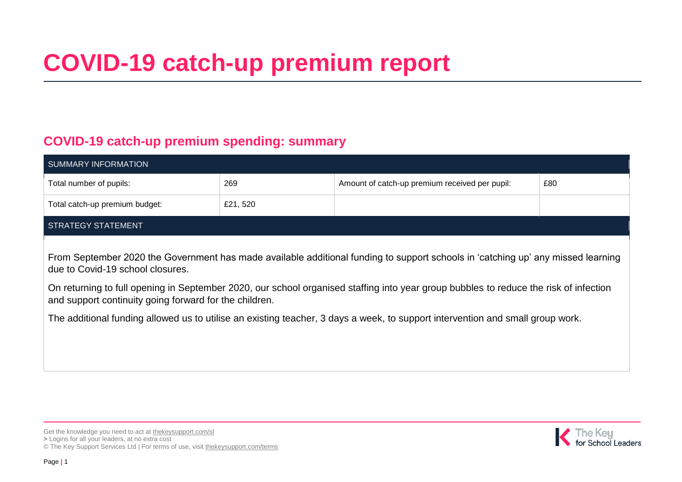# **COVID-19 catch-up premium report**

#### **COVID-19 catch-up premium spending: summary**

| <b>SUMMARY INFORMATION</b>                                                                                                                                                                                                                                                                                                                                                                                                                                                                                |          |                                                |     |  |  |
|-----------------------------------------------------------------------------------------------------------------------------------------------------------------------------------------------------------------------------------------------------------------------------------------------------------------------------------------------------------------------------------------------------------------------------------------------------------------------------------------------------------|----------|------------------------------------------------|-----|--|--|
| Total number of pupils:                                                                                                                                                                                                                                                                                                                                                                                                                                                                                   | 269      | Amount of catch-up premium received per pupil: | £80 |  |  |
| Total catch-up premium budget:                                                                                                                                                                                                                                                                                                                                                                                                                                                                            | £21, 520 |                                                |     |  |  |
| STRATEGY STATEMENT                                                                                                                                                                                                                                                                                                                                                                                                                                                                                        |          |                                                |     |  |  |
| From September 2020 the Government has made available additional funding to support schools in 'catching up' any missed learning<br>due to Covid-19 school closures.<br>On returning to full opening in September 2020, our school organised staffing into year group bubbles to reduce the risk of infection<br>and support continuity going forward for the children.<br>The additional funding allowed us to utilise an existing teacher, 3 days a week, to support intervention and small group work. |          |                                                |     |  |  |

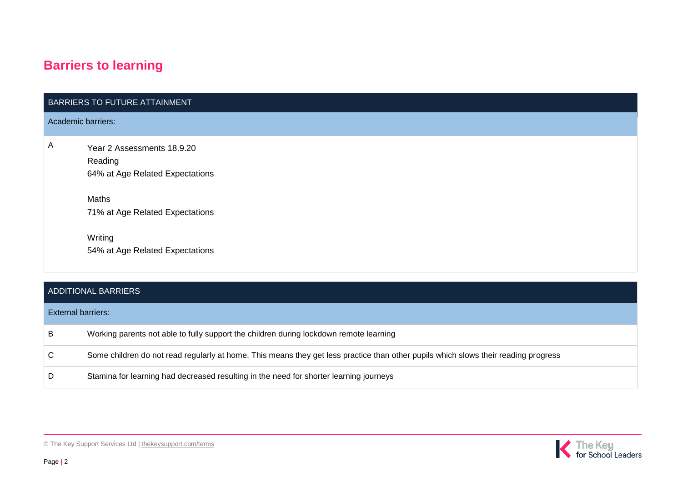## **Barriers to learning**

|                    | BARRIERS TO FUTURE ATTAINMENT                                                                                                                                      |
|--------------------|--------------------------------------------------------------------------------------------------------------------------------------------------------------------|
| Academic barriers: |                                                                                                                                                                    |
| $\mathsf{A}$       | Year 2 Assessments 18.9.20<br>Reading<br>64% at Age Related Expectations<br>Maths<br>71% at Age Related Expectations<br>Writing<br>54% at Age Related Expectations |

#### ADDITIONAL BARRIERS

| <b>External barriers:</b> |                                                                                                                                     |  |  |
|---------------------------|-------------------------------------------------------------------------------------------------------------------------------------|--|--|
| B                         | Working parents not able to fully support the children during lockdown remote learning                                              |  |  |
| C                         | Some children do not read regularly at home. This means they get less practice than other pupils which slows their reading progress |  |  |
| D                         | Stamina for learning had decreased resulting in the need for shorter learning journeys                                              |  |  |



© The Key Support Services Ltd | [thekeysupport.com/terms](https://thekeysupport.com/terms-of-use)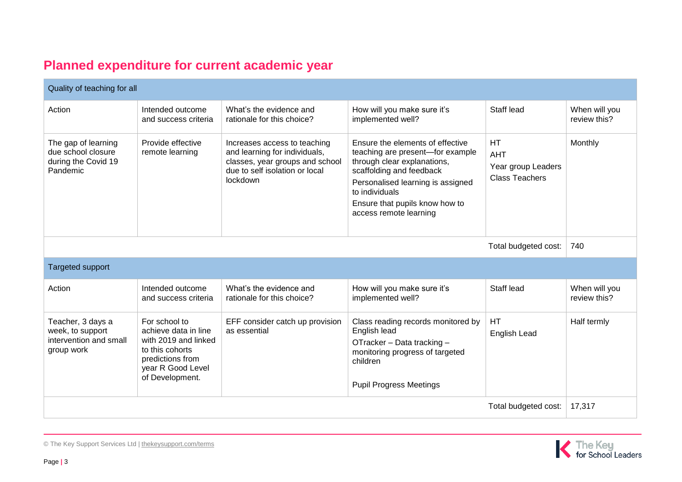### **Planned expenditure for current academic year**

| Quality of teaching for all                                                   |                                                                                                                                              |                                                                                                                                                |                                                                                                                                                                                                                                                    |                                                                        |                               |
|-------------------------------------------------------------------------------|----------------------------------------------------------------------------------------------------------------------------------------------|------------------------------------------------------------------------------------------------------------------------------------------------|----------------------------------------------------------------------------------------------------------------------------------------------------------------------------------------------------------------------------------------------------|------------------------------------------------------------------------|-------------------------------|
| Action                                                                        | Intended outcome<br>and success criteria                                                                                                     | What's the evidence and<br>rationale for this choice?                                                                                          | How will you make sure it's<br>implemented well?                                                                                                                                                                                                   | Staff lead                                                             | When will you<br>review this? |
| The gap of learning<br>due school closure<br>during the Covid 19<br>Pandemic  | Provide effective<br>remote learning                                                                                                         | Increases access to teaching<br>and learning for individuals,<br>classes, year groups and school<br>due to self isolation or local<br>lockdown | Ensure the elements of effective<br>teaching are present-for example<br>through clear explanations,<br>scaffolding and feedback<br>Personalised learning is assigned<br>to individuals<br>Ensure that pupils know how to<br>access remote learning | <b>HT</b><br><b>AHT</b><br>Year group Leaders<br><b>Class Teachers</b> | Monthly                       |
| Total budgeted cost:                                                          |                                                                                                                                              |                                                                                                                                                |                                                                                                                                                                                                                                                    |                                                                        | 740                           |
| <b>Targeted support</b>                                                       |                                                                                                                                              |                                                                                                                                                |                                                                                                                                                                                                                                                    |                                                                        |                               |
| Action                                                                        | Intended outcome<br>and success criteria                                                                                                     | What's the evidence and<br>rationale for this choice?                                                                                          | How will you make sure it's<br>implemented well?                                                                                                                                                                                                   | Staff lead                                                             | When will you<br>review this? |
| Teacher, 3 days a<br>week, to support<br>intervention and small<br>group work | For school to<br>achieve data in line<br>with 2019 and linked<br>to this cohorts<br>predictions from<br>year R Good Level<br>of Development. | EFF consider catch up provision<br>as essential                                                                                                | Class reading records monitored by<br>English lead<br>OTracker - Data tracking -<br>monitoring progress of targeted<br>children<br><b>Pupil Progress Meetings</b>                                                                                  | HT<br>English Lead                                                     | Half termly                   |
| Total budgeted cost:                                                          |                                                                                                                                              |                                                                                                                                                |                                                                                                                                                                                                                                                    | 17,317                                                                 |                               |